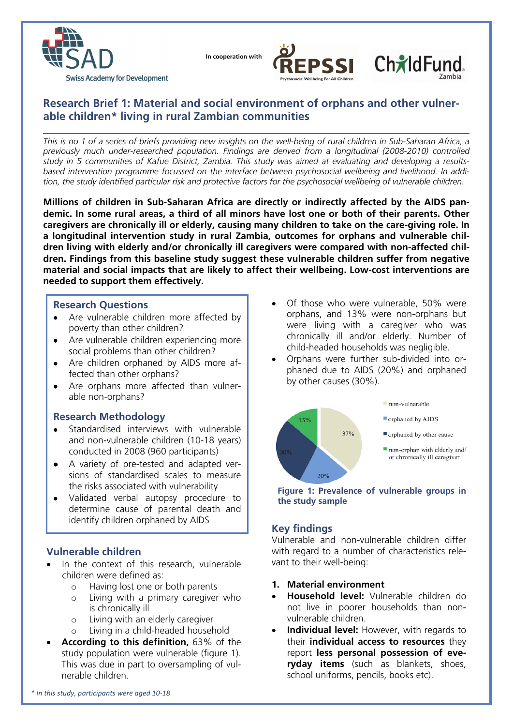

 **In cooperation with**



# ChildFund

## **Research Brief 1: Material and social environment of orphans and other vulnerable children\* living in rural Zambian communities**

*This is no 1 of a series of briefs providing new insights on the well-being of rural children in Sub-Saharan Africa, a previously much under-researched population. Findings are derived from a longitudinal (2008-2010) controlled study in 5 communities of Kafue District, Zambia. This study was aimed at evaluating and developing a resultsbased intervention programme focussed on the interface between psychosocial wellbeing and livelihood. In addition, the study identified particular risk and protective factors for the psychosocial wellbeing of vulnerable children.* 

**Millions of children in Sub-Saharan Africa are directly or indirectly affected by the AIDS pandemic. In some rural areas, a third of all minors have lost one or both of their parents. Other caregivers are chronically ill or elderly, causing many children to take on the care-giving role. In a longitudinal intervention study in rural Zambia, outcomes for orphans and vulnerable children living with elderly and/or chronically ill caregivers were compared with non-affected children. Findings from this baseline study suggest these vulnerable children suffer from negative material and social impacts that are likely to affect their wellbeing. Low-cost interventions are needed to support them effectively.** 

### **Research Questions**

- Are vulnerable children more affected by poverty than other children?
- Are vulnerable children experiencing more social problems than other children?
- Are children orphaned by AIDS more affected than other orphans?
- Are orphans more affected than vulnerable non-orphans?

## **Research Methodology**

- Standardised interviews with vulnerable and non-vulnerable children (10-18 years) conducted in 2008 (960 participants)
- A variety of pre-tested and adapted versions of standardised scales to measure the risks associated with vulnerability
- Validated verbal autopsy procedure to determine cause of parental death and identify children orphaned by AIDS

## **Vulnerable children**

- In the context of this research, vulnerable children were defined as:
	- o Having lost one or both parents
	- o Living with a primary caregiver who is chronically ill
	- o Living with an elderly caregiver
	- o Living in a child-headed household
- **According to this definition,** 63% of the study population were vulnerable (figure 1). This was due in part to oversampling of vulnerable children.
- Of those who were vulnerable, 50% were orphans, and 13% were non-orphans but were living with a caregiver who was chronically ill and/or elderly. Number of child-headed households was negligible.
- Orphans were further sub-divided into orphaned due to AIDS (20%) and orphaned by other causes (30%).



**Figure 1: Prevalence of vulnerable groups in the study sample** 

## **Key findings**

Vulnerable and non-vulnerable children differ with regard to a number of characteristics relevant to their well-being:

- **1. Material environment**
- **Household level:** Vulnerable children do not live in poorer households than nonvulnerable children.
- **Individual level:** However, with regards to their **individual access to resources** they report **less personal possession of everyday items** (such as blankets, shoes, school uniforms, pencils, books etc).